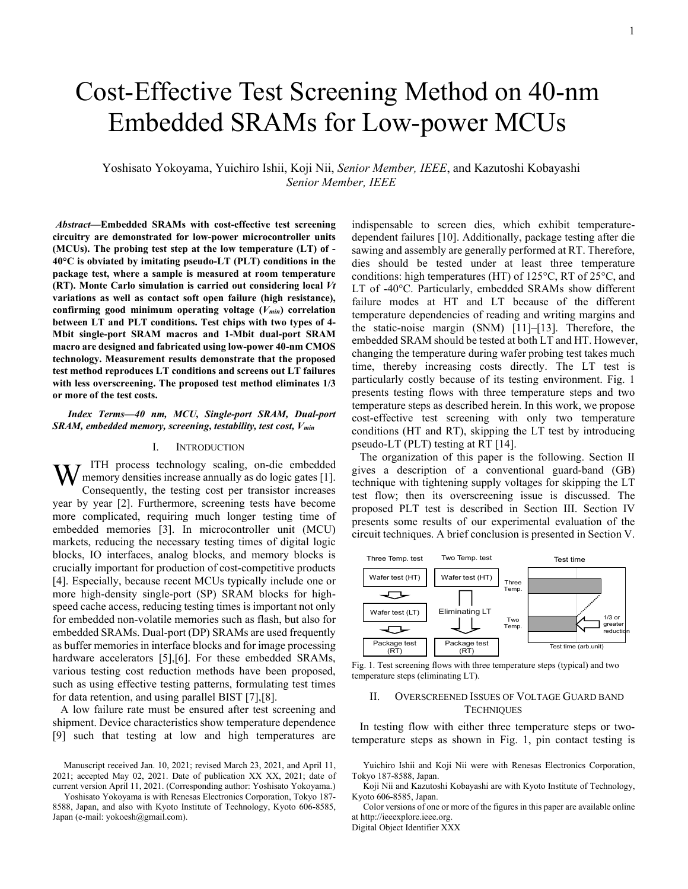# Cost-Effective Test Screening Method on 40-nm Embedded SRAMs for Low-power MCUs

Yoshisato Yokoyama, Yuichiro Ishii, Koji Nii, *Senior Member, IEEE*, and Kazutoshi Kobayashi *Senior Member, IEEE*

*Abstract***—Embedded SRAMs with cost-effective test screening circuitry are demonstrated for low-power microcontroller units (MCUs). The probing test step at the low temperature (LT) of - 40°C is obviated by imitating pseudo-LT (PLT) conditions in the package test, where a sample is measured at room temperature (RT). Monte Carlo simulation is carried out considering local** *Vt* **variations as well as contact soft open failure (high resistance), confirming good minimum operating voltage (***Vmin***) correlation between LT and PLT conditions. Test chips with two types of 4- Mbit single-port SRAM macros and 1-Mbit dual-port SRAM macro are designed and fabricated using low-power 40-nm CMOS technology. Measurement results demonstrate that the proposed test method reproduces LT conditions and screens out LT failures with less overscreening. The proposed test method eliminates 1/3 or more of the test costs.**

*Index Terms—40 nm, MCU, Single-port SRAM, Dual-port SRAM, embedded memory, screening, testability, test cost, Vmin*

# I. INTRODUCTION

ITH process technology scaling, on-die embedded memory densities increase annually as do logic gates [\[1\].](#page-4-0) Consequently, the testing cost per transistor increases year by year [\[2\].](#page-4-1) Furthermore, screening tests have become more complicated, requiring much longer testing time of embedded memories [\[3\].](#page-4-2) In microcontroller unit (MCU) markets, reducing the necessary testing times of digital logic blocks, IO interfaces, analog blocks, and memory blocks is crucially important for production of cost-competitive products [\[4\].](#page-4-3) Especially, because recent MCUs typically include one or more high-density single-port (SP) SRAM blocks for highspeed cache access, reducing testing times is important not only for embedded non-volatile memories such as flash, but also for embedded SRAMs. Dual-port (DP) SRAMs are used frequently as buffer memories in interface blocks and for image processing hardware accelerators [\[5\]](#page-4-4), [6]. For these embedded SRAMs, various testing cost reduction methods have been proposed, such as using effective testing patterns, formulating test times for data retention, and using parallel BIST [\[7\]](#page-4-6)[,\[8\].](#page-4-7) W

A low failure rate must be ensured after test screening and shipment. Device characteristics show temperature dependence [\[9\]](#page-4-8) such that testing at low and high temperatures are indispensable to screen dies, which exhibit temperaturedependent failures [\[10\].](#page-4-9) Additionally, package testing after die sawing and assembly are generally performed at RT. Therefore, dies should be tested under at least three temperature conditions: high temperatures (HT) of 125°C, RT of 25°C, and LT of -40°C. Particularly, embedded SRAMs show different failure modes at HT and LT because of the different temperature dependencies of reading and writing margins and the static-noise margin (SNM) [\[11\]](#page-4-10)[–\[13\].](#page-4-11) Therefore, the embedded SRAM should be tested at both LT and HT. However, changing the temperature during wafer probing test takes much time, thereby increasing costs directly. The LT test is particularly costly because of its testing environment. [Fig. 1](#page-0-0) presents testing flows with three temperature steps and two temperature steps as described herein. In this work, we propose cost-effective test screening with only two temperature conditions (HT and RT), skipping the LT test by introducing pseudo-LT (PLT) testing at RT [\[14\].](#page-4-12)

The organization of this paper is the following. Section II gives a description of a conventional guard-band (GB) technique with tightening supply voltages for skipping the LT test flow; then its overscreening issue is discussed. The proposed PLT test is described in Section III. Section IV presents some results of our experimental evaluation of the circuit techniques. A brief conclusion is presented in Section V.



<span id="page-0-0"></span>Fig. 1. Test screening flows with three temperature steps (typical) and two temperature steps (eliminating LT).

## II. OVERSCREENED ISSUES OF VOLTAGE GUARD BAND **TECHNIQUES**

In testing flow with either three temperature steps or twotemperature steps as shown in [Fig. 1,](#page-0-0) pin contact testing is

Yuichiro Ishii and Koji Nii were with Renesas Electronics Corporation, Tokyo 187-8588, Japan.

Koji Nii and Kazutoshi Kobayashi are with Kyoto Institute of Technology, Kyoto 606-8585, Japan.

Color versions of one or more of the figures in this paper are available online at http://ieeexplore.ieee.org.

Digital Object Identifier XXX

<span id="page-0-1"></span>Manuscript received Jan. 10, 2021; revised March 23, 2021, and April 11, 2021; accepted May 02, 2021. Date of publication XX XX, 2021; date of current version April 11, 2021. (Corresponding author: Yoshisato Yokoyama.)

Yoshisato Yokoyama is with Renesas Electronics Corporation, Tokyo 187- 8588, Japan, and also with Kyoto Institute of Technology, Kyoto 606-8585, Japan (e-mail: yokoesh@gmail.com).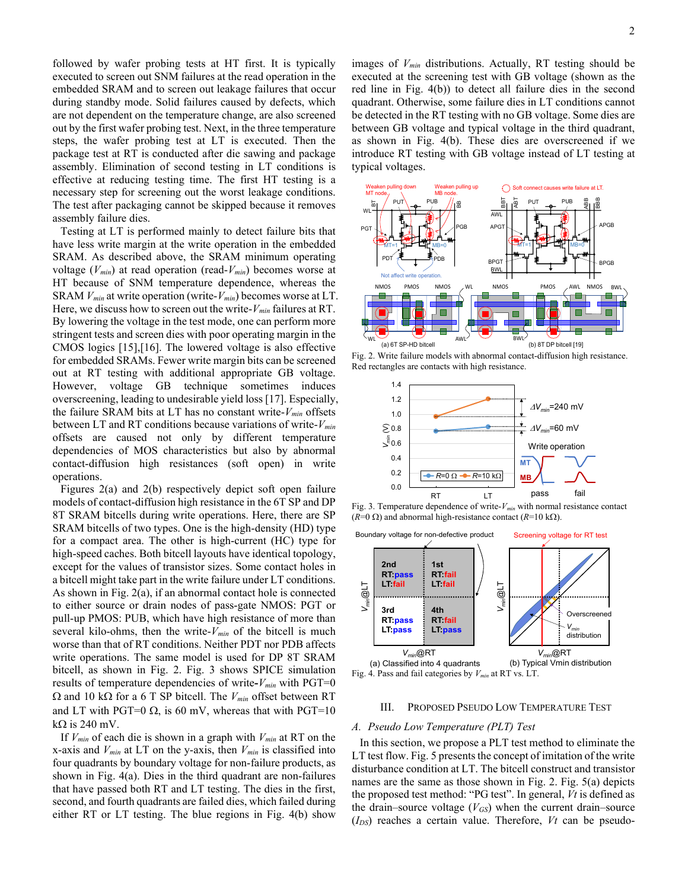followed by wafer probing tests at HT first. It is typically executed to screen out SNM failures at the read operation in the embedded SRAM and to screen out leakage failures that occur during standby mode. Solid failures caused by defects, which are not dependent on the temperature change, are also screened out by the first wafer probing test. Next, in the three temperature steps, the wafer probing test at LT is executed. Then the package test at RT is conducted after die sawing and package assembly. Elimination of second testing in LT conditions is effective at reducing testing time. The first HT testing is a necessary step for screening out the worst leakage conditions. The test after packaging cannot be skipped because it removes assembly failure dies.

Testing at LT is performed mainly to detect failure bits that have less write margin at the write operation in the embedded SRAM. As described above, the SRAM minimum operating voltage (*Vmin*) at read operation (read-*Vmin*) becomes worse at HT because of SNM temperature dependence, whereas the SRAM *Vmin* at write operation (write-*Vmin*) becomes worse at LT. Here, we discuss how to screen out the write-*Vmin* failures at RT. By lowering the voltage in the test mode, one can perform more stringent tests and screen dies with poor operating margin in the CMOS logics [\[15\],](#page-4-13)[\[16\].](#page-4-14) The lowered voltage is also effective for embedded SRAMs. Fewer write margin bits can be screened out at RT testing with additional appropriate GB voltage. However, voltage GB technique sometimes induces overscreening, leading to undesirable yield loss [\[17\].](#page-4-15) Especially, the failure SRAM bits at LT has no constant write-*Vmin* offsets between LT and RT conditions because variations of write-*Vmin* offsets are caused not only by different temperature dependencies of MOS characteristics but also by abnormal contact-diffusion high resistances (soft open) in write operations.

Figures 2(a) and 2(b) respectively depict soft open failure models of contact-diffusion high resistance in the 6T SP and DP 8T SRAM bitcells during write operations. Here, there are SP SRAM bitcells of two types. One is the high-density (HD) type for a compact area. The other is high-current (HC) type for high-speed caches. Both bitcell layouts have identical topology, except for the values of transistor sizes. Some contact holes in a bitcell might take part in the write failure under LT conditions. As shown in [Fig. 2\(](#page-1-0)a), if an abnormal contact hole is connected to either source or drain nodes of pass-gate NMOS: PGT or pull-up PMOS: PUB, which have high resistance of more than several kilo-ohms, then the write-*Vmin* of the bitcell is much worse than that of RT conditions. Neither PDT nor PDB affects write operations. The same model is used for DP 8T SRAM bitcell, as shown in [Fig. 2.](#page-1-0) [Fig. 3](#page-1-1) shows SPICE simulation results of temperature dependencies of write**-***Vmin* with PGT=0 Ω and 10 kΩ for a 6 T SP bitcell. The *Vmin* offset between RT and LT with PGT=0  $\Omega$ , is 60 mV, whereas that with PGT=10 k $\Omega$  is 240 mV.

If *Vmin* of each die is shown in a graph with *Vmin* at RT on the x-axis and  $V_{min}$  at LT on the y-axis, then  $V_{min}$  is classified into four quadrants by boundary voltage for non-failure products, as shown in [Fig. 4\(](#page-1-2)a). Dies in the third quadrant are non-failures that have passed both RT and LT testing. The dies in the first, second, and fourth quadrants are failed dies, which failed during either RT or LT testing. The blue regions in [Fig. 4\(](#page-1-2)b) show

images of *Vmin* distributions. Actually, RT testing should be executed at the screening test with GB voltage (shown as the red line in [Fig. 4\(](#page-1-2)b)) to detect all failure dies in the second quadrant. Otherwise, some failure dies in LT conditions cannot be detected in the RT testing with no GB voltage. Some dies are between GB voltage and typical voltage in the third quadrant, as shown in [Fig. 4\(](#page-1-2)b). These dies are overscreened if we introduce RT testing with GB voltage instead of LT testing at typical voltages.



<span id="page-1-0"></span>Fig. 2. Write failure models with abnormal contact-diffusion high resistance. Red rectangles are contacts with high resistance.



<span id="page-1-1"></span>Fig. 3. Temperature dependence of write-*Vmin* with normal resistance contact (*R*=0 Ω) and abnormal high-resistance contact (*R*=10 kΩ).



## <span id="page-1-2"></span>III. PROPOSED PSEUDO LOW TEMPERATURE TEST

# *A. Pseudo Low Temperature (PLT) Test*

In this section, we propose a PLT test method to eliminate the LT test flow. [Fig. 5](#page-2-0) presents the concept of imitation of the write disturbance condition at LT. The bitcell construct and transistor names are the same as those shown in [Fig. 2.](#page-1-0) [Fig. 5\(](#page-2-0)a) depicts the proposed test method: "PG test". In general, *Vt* is defined as the drain–source voltage  $(V_{GS})$  when the current drain–source (*IDS*) reaches a certain value. Therefore, *Vt* can be pseudo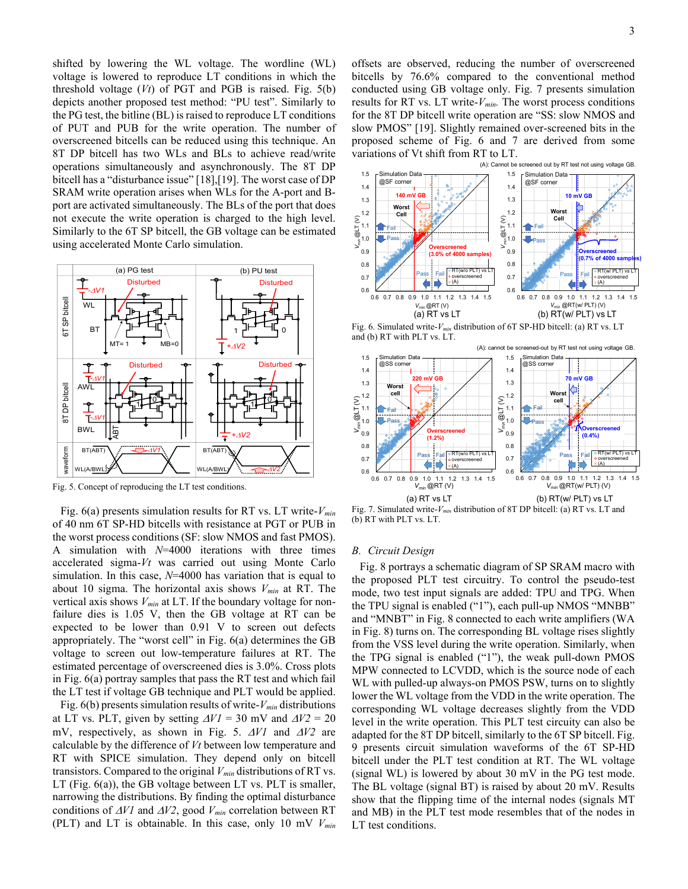shifted by lowering the WL voltage. The wordline (WL) voltage is lowered to reproduce LT conditions in which the threshold voltage (*Vt*) of PGT and PGB is raised. [Fig. 5\(](#page-2-0)b) depicts another proposed test method: "PU test". Similarly to the PG test, the bitline (BL) is raised to reproduce LT conditions of PUT and PUB for the write operation. The number of overscreened bitcells can be reduced using this technique. An 8T DP bitcell has two WLs and BLs to achieve read/write operations simultaneously and asynchronously. The 8T DP bitcell has a "disturbance issue[" \[18\]](#page-4-16)[,\[19\].](#page-4-17) The worst case of DP SRAM write operation arises when WLs for the A-port and Bport are activated simultaneously. The BLs of the port that does not execute the write operation is charged to the high level. Similarly to the 6T SP bitcell, the GB voltage can be estimated using accelerated Monte Carlo simulation.



<span id="page-2-0"></span>Fig. 5. Concept of reproducing the LT test conditions.

[Fig. 6\(](#page-2-1)a) presents simulation results for RT vs. LT write-*Vmin* of 40 nm 6T SP-HD bitcells with resistance at PGT or PUB in the worst process conditions (SF: slow NMOS and fast PMOS). A simulation with *N*=4000 iterations with three times accelerated sigma-*Vt* was carried out using Monte Carlo simulation. In this case, *N*=4000 has variation that is equal to about 10 sigma. The horizontal axis shows *Vmin* at RT. The vertical axis shows *Vmin* at LT. If the boundary voltage for nonfailure dies is 1.05 V, then the GB voltage at RT can be expected to be lower than 0.91 V to screen out defects appropriately. The "worst cell" in [Fig.](#page-2-1) 6(a) determines the GB voltage to screen out low-temperature failures at RT. The estimated percentage of overscreened dies is 3.0%. Cross plots in [Fig. 6\(](#page-2-1)a) portray samples that pass the RT test and which fail the LT test if voltage GB technique and PLT would be applied.

Fig.  $6(b)$  presents simulation results of write- $V_{min}$  distributions at LT vs. PLT, given by setting  $\Delta V = 30$  mV and  $\Delta V = 20$ mV, respectively, as shown in [Fig. 5.](#page-2-0) ∆*V1* and ∆*V2* are calculable by the difference of *Vt* between low temperature and RT with SPICE simulation. They depend only on bitcell transistors. Compared to the original *Vmin* distributions of RT vs. LT [\(Fig. 6\(](#page-2-1)a)), the GB voltage between LT vs. PLT is smaller, narrowing the distributions. By finding the optimal disturbance conditions of ∆*V1* and ∆*V2*, good *Vmin* correlation between RT (PLT) and LT is obtainable. In this case, only 10 mV *Vmin*

offsets are observed, reducing the number of overscreened bitcells by 76.6% compared to the conventional method conducted using GB voltage only. [Fig. 7](#page-2-2) presents simulation results for RT vs. LT write- $V_{min}$ . The worst process conditions for the 8T DP bitcell write operation are "SS: slow NMOS and slow PMOS" [\[19\].](#page-4-17) Slightly remained over-screened bits in the proposed scheme of Fig. 6 and 7 are derived from some variations of Vt shift from RT to LT.



<span id="page-2-1"></span>Fig. 6. Simulated write-*Vmin* distribution of 6T SP-HD bitcell: (a) RT vs. LT and (b) RT with PLT vs. LT.



<span id="page-2-2"></span>Fig. 7. Simulated write-*Vmin* distribution of 8T DP bitcell: (a) RT vs. LT and (b) RT with PLT vs. LT.

#### *B. Circuit Design*

[Fig. 8](#page-3-0) portrays a schematic diagram of SP SRAM macro with the proposed PLT test circuitry. To control the pseudo-test mode, two test input signals are added: TPU and TPG. When the TPU signal is enabled ("1"), each pull-up NMOS "MNBB" and "MNBT" in [Fig. 8](#page-3-0) connected to each write amplifiers (WA in [Fig. 8\)](#page-3-0) turns on. The corresponding BL voltage rises slightly from the VSS level during the write operation. Similarly, when the TPG signal is enabled ("1"), the weak pull-down PMOS MPW connected to LCVDD, which is the source node of each WL with pulled-up always-on PMOS PSW, turns on to slightly lower the WL voltage from the VDD in the write operation. The corresponding WL voltage decreases slightly from the VDD level in the write operation. This PLT test circuity can also be adapted for the 8T DP bitcell, similarly to the 6T SP bitcell. [Fig.](#page-3-1)  [9](#page-3-1) presents circuit simulation waveforms of the 6T SP-HD bitcell under the PLT test condition at RT. The WL voltage (signal WL) is lowered by about 30 mV in the PG test mode. The BL voltage (signal BT) is raised by about 20 mV. Results show that the flipping time of the internal nodes (signals MT and MB) in the PLT test mode resembles that of the nodes in LT test conditions.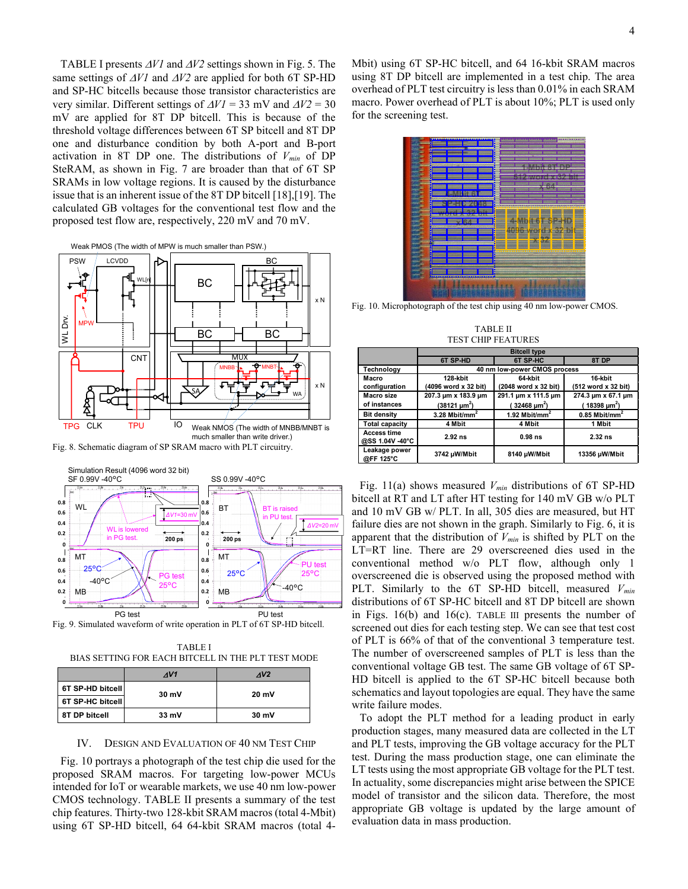[TABLE I](#page-3-2) presents ∆*V1* and ∆*V2* settings shown i[n Fig. 5.](#page-2-0) The same settings of <sup>∆</sup>*V1* and ∆*V2* are applied for both 6T SP-HD and SP-HC bitcells because those transistor characteristics are very similar. Different settings of ∆*V1* = 33 mV and ∆*V2* = 30 mV are applied for 8T DP bitcell. This is because of the threshold voltage differences between 6T SP bitcell and 8T DP one and disturbance condition by both A-port and B-port activation in 8T DP one. The distributions of *Vmin* of DP SteRAM, as shown in [Fig. 7](#page-2-2) are broader than that of 6T SP SRAMs in low voltage regions. It is caused by the disturbance issue that is an inherent issue of the 8T DP bitcell [\[18\],](#page-4-16)[\[19\].](#page-4-17) The calculated GB voltages for the conventional test flow and the proposed test flow are, respectively, 220 mV and 70 mV.





<span id="page-3-0"></span>Fig. 8. Schematic diagram of SP SRAM macro with PLT circuitry.



<span id="page-3-1"></span>Fig. 9. Simulated waveform of write operation in PLT of 6T SP-HD bitcell.

<span id="page-3-2"></span>TABLE I BIAS SETTING FOR EACH BITCELL IN THE PLT TEST MODE

|                  | AV1   | AV2   |  |  |
|------------------|-------|-------|--|--|
| 6T SP-HD bitcell | 30 mV | 20 mV |  |  |
| 6T SP-HC bitcell |       |       |  |  |
| 8T DP bitcell    | 33 mV | 30 mV |  |  |

#### IV. DESIGN AND EVALUATION OF 40 NM TEST CHIP

[Fig. 10](#page-3-3) portrays a photograph of the test chip die used for the proposed SRAM macros. For targeting low-power MCUs intended for IoT or wearable markets, we use 40 nm low-power CMOS technology. [TABLE II](#page-3-4) presents a summary of the test chip features. Thirty-two 128-kbit SRAM macros (total 4-Mbit) using 6T SP-HD bitcell, 64 64-kbit SRAM macros (total 4Mbit) using 6T SP-HC bitcell, and 64 16-kbit SRAM macros using 8T DP bitcell are implemented in a test chip. The area overhead of PLT test circuitry is less than 0.01% in each SRAM macro. Power overhead of PLT is about 10%; PLT is used only for the screening test.



<span id="page-3-3"></span>Fig. 10. Microphotograph of the test chip using 40 nm low-power CMOS.

TABLE II TEST CHIP FEATURES

<span id="page-3-4"></span>

|                                       | <b>Bitcell type</b>                                        |                           |                             |  |  |  |  |
|---------------------------------------|------------------------------------------------------------|---------------------------|-----------------------------|--|--|--|--|
|                                       | <b>6T SP-HD</b>                                            | <b>6T SP-HC</b>           | 8T DP                       |  |  |  |  |
| Technology                            | 40 nm low-power CMOS process                               |                           |                             |  |  |  |  |
| Macro                                 | 128-kbit                                                   | 64-kbit                   | 16 kbit                     |  |  |  |  |
| configuration                         | (4096 word x 32 bit)                                       | (2048 word x 32 bit)      | (512 word x 32 bit)         |  |  |  |  |
| Macro size                            | 207.3 um x 183.9 um                                        | 291.1 um x 111.5 um       | 274.3 um x 67.1 um          |  |  |  |  |
| of instances                          | $(38121 \,\mathrm{\upmu m}^2)$<br>(32468 µm <sup>2</sup> ) |                           | (18398 µm <sup>2</sup> )    |  |  |  |  |
| <b>Bit density</b>                    | 3.28 Mbit/mm <sup>2</sup>                                  | 1.92 Mbit/mm <sup>2</sup> | $0.85$ Mbit/mm <sup>2</sup> |  |  |  |  |
| <b>Total capacity</b>                 | 4 Mbit                                                     | 4 Mbit                    | 1 Mbit                      |  |  |  |  |
| <b>Access time</b><br>@SS 1.04V -40°C | $2.92$ ns                                                  | $0.98$ ns                 | $2.32$ ns                   |  |  |  |  |
| Leakage power<br>@FF 125°C            | 3742 µW/Mbit                                               |                           | 13356 µW/Mbit               |  |  |  |  |

[Fig. 11\(](#page-4-18)a) shows measured *Vmin* distributions of 6T SP-HD bitcell at RT and LT after HT testing for 140 mV GB w/o PLT and 10 mV GB w/ PLT. In all, 305 dies are measured, but HT failure dies are not shown in the graph. Similarly to [Fig. 6,](#page-2-1) it is apparent that the distribution of *Vmin* is shifted by PLT on the LT=RT line. There are 29 overscreened dies used in the conventional method w/o PLT flow, although only 1 overscreened die is observed using the proposed method with PLT. Similarly to the 6T SP-HD bitcell, measured *Vmin* distributions of 6T SP-HC bitcell and 8T DP bitcell are shown in Figs. 16(b) and 16(c). [TABLE III](#page-4-19) presents the number of screened out dies for each testing step. We can see that test cost of PLT is 66% of that of the conventional 3 temperature test. The number of overscreened samples of PLT is less than the conventional voltage GB test. The same GB voltage of 6T SP-HD bitcell is applied to the 6T SP-HC bitcell because both schematics and layout topologies are equal. They have the same write failure modes.

To adopt the PLT method for a leading product in early production stages, many measured data are collected in the LT and PLT tests, improving the GB voltage accuracy for the PLT test. During the mass production stage, one can eliminate the LT tests using the most appropriate GB voltage for the PLT test. In actuality, some discrepancies might arise between the SPICE model of transistor and the silicon data. Therefore, the most appropriate GB voltage is updated by the large amount of evaluation data in mass production.